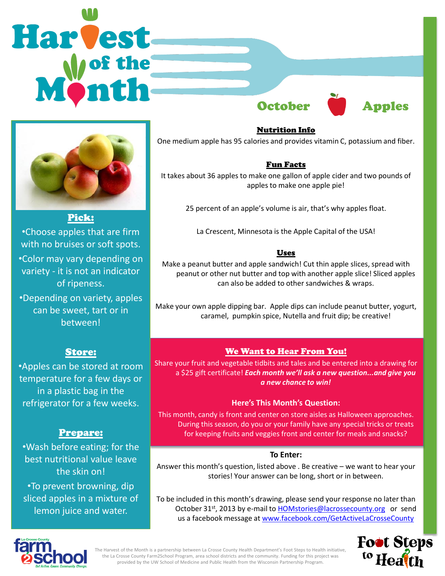



Pick:

•Choose apples that are firm with no bruises or soft spots. •Color may vary depending on variety - it is not an indicator of ripeness.

•Depending on variety, apples can be sweet, tart or in between!

# Store:

•Apples can be stored at room temperature for a few days or in a plastic bag in the refrigerator for a few weeks.

# Prepare:

•Wash before eating; for the best nutritional value leave the skin on! •To prevent browning, dip sliced apples in a mixture of lemon juice and water.

Nutrition Info One medium apple has 95 calories and provides vitamin C, potassium and fiber.

### Fun Facts

It takes about 36 apples to make one gallon of apple cider and two pounds of apples to make one apple pie!

25 percent of an apple's volume is air, that's why apples float.

La Crescent, Minnesota is the Apple Capital of the USA!

# Uses

Make a peanut butter and apple sandwich! Cut thin apple slices, spread with peanut or other nut butter and top with another apple slice! Sliced apples can also be added to other sandwiches & wraps.

Make your own apple dipping bar. Apple dips can include peanut butter, yogurt, caramel, pumpkin spice, Nutella and fruit dip; be creative!

# We Want to Hear From You!

Share your fruit and vegetable tidbits and tales and be entered into a drawing for a \$25 gift certificate! *Each month we'll ask a new question...and give you a new chance to win!* 

### **Here's This Month's Question:**

This month, candy is front and center on store aisles as Halloween approaches. During this season, do you or your family have any special tricks or treats for keeping fruits and veggies front and center for meals and snacks?

### **To Enter:**

Answer this month's question, listed above . Be creative – we want to hear your stories! Your answer can be long, short or in between.

To be included in this month's drawing, please send your response no later than October 31<sup>st</sup>, 2013 by e-mail to [HOMstories@lacrossecounty.org](mailto:HOMstories@lacrossecounty.org) or send us a facebook message at [www.facebook.com/GetActiveLaCrosseCounty](http://www.facebook.com/GetActiveLaCrosseCounty)